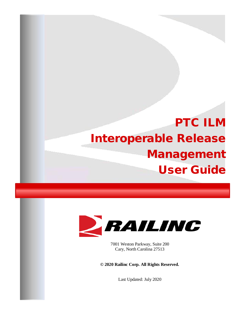# PTC ILM Interoperable Release Management User Guide



7001 Weston Parkway, Suite 200 Cary, North Carolina 27513

**© 2020 Railinc Corp. All Rights Reserved.**

Last Updated: July 2020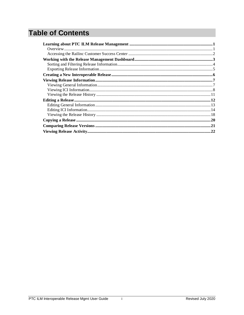# **Table of Contents**

 $\mathbf i$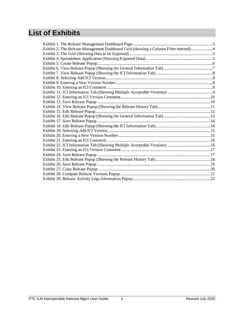# **List of Exhibits**

| Exhibit 2. The Release Management Dashboard Grid (showing a Column Filter entered)4 |  |
|-------------------------------------------------------------------------------------|--|
|                                                                                     |  |
|                                                                                     |  |
|                                                                                     |  |
|                                                                                     |  |
|                                                                                     |  |
|                                                                                     |  |
|                                                                                     |  |
|                                                                                     |  |
|                                                                                     |  |
|                                                                                     |  |
|                                                                                     |  |
|                                                                                     |  |
|                                                                                     |  |
|                                                                                     |  |
|                                                                                     |  |
|                                                                                     |  |
|                                                                                     |  |
|                                                                                     |  |
|                                                                                     |  |
|                                                                                     |  |
|                                                                                     |  |
|                                                                                     |  |
|                                                                                     |  |
|                                                                                     |  |
|                                                                                     |  |
|                                                                                     |  |
|                                                                                     |  |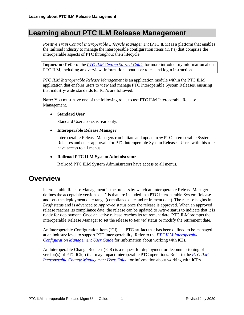# <span id="page-4-0"></span>**Learning about PTC ILM Release Management**

*Positive Train Control Interoperable Lifecycle Management* (PTC ILM) is a platform that enables the railroad industry to manage the interoperable configuration items (ICI's) that comprise the interoperable aspects of PTC throughout their lifecycle.

**Important:** Refer to the *[PTC ILM Getting Started Guide](https://public.railinc.com/sites/default/files/documents/PTC_ILM_Getting_Started.pdf)* for more introductory information about PTC ILM, including an overview, information about user roles, and login instructions.

*PTC ILM Interoperable Release Management* is an application module within the PTC ILM application that enables users to view and manage PTC Interoperable System Releases, ensuring that industry-wide standards for ICI's are followed.

**Note:** You must have one of the following roles to use PTC ILM Interoperable Release Management.

#### • **Standard User**

Standard User access is read only.

#### • **Interoperable Release Manager**

Interoperable Release Managers can initiate and update new PTC Interoperable System Releases and enter approvals for PTC Interoperable System Releases. Users with this role have access to all menus.

#### • **Railroad PTC ILM System Administrator**

Railroad PTC ILM System Administrators have access to all menus.

### <span id="page-4-1"></span>**Overview**

Interoperable Release Management is the process by which an Interoperable Release Manager defines the acceptable versions of ICIs that are included in a PTC Interoperable System Release and sets the deployment date range (compliance date and retirement date). The release begins in *Draft* status and is advanced to *Approved* status once the release is approved. When an approved release reaches its compliance date, the release can be updated to *Active* status to indicate that it is ready for deployment. Once an active release reaches its retirement date, PTC ILM prompts the Interoperable Release Manager to set the release to *Retired* status or modify the retirement date.

An Interoperable Configuration Item (ICI) is a PTC artifact that has been defined to be managed at an industry level to support PTC interoperability. Refer to the *[PTC ILM Interoperable](https://public.railinc.com/sites/default/files/documents/PTC_ILM_CfgMgmt_UG.pdf)  [Configuration Management User Guide](https://public.railinc.com/sites/default/files/documents/PTC_ILM_CfgMgmt_UG.pdf)* for information about working with ICIs.

An Interoperable Change Request (ICR) is a request for deployment or decommissioning of version(s) of PTC ICI(s) that may impact interoperable PTC operations. Refer to the *[PTC ILM](https://public.railinc.com/sites/default/files/documents/PTC_ILM_ChgMgmt_UG.pdf)  [Interoperable Change Management User Guide](https://public.railinc.com/sites/default/files/documents/PTC_ILM_ChgMgmt_UG.pdf)* for information about working with ICRs.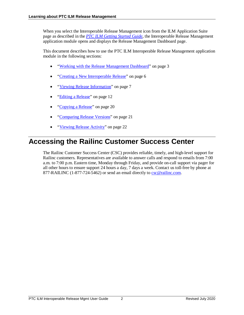When you select the Interoperable Release Management icon from the ILM Application Suite page as described in the *[PTC ILM Getting Started Guide](https://public.railinc.com/sites/default/files/documents/PTC_ILM_Getting_Started.pdf)*, the Interoperable Release Management application module opens and displays the Release Management Dashboard page.

This document describes how to use the PTC ILM Interoperable Release Management application module in the following sections:

- ["Working with the Release Management Dashboard"](#page-6-0) on page [3](#page-6-0)
- ["Creating a New Interoperable Release"](#page-9-0) on page [6](#page-9-0)
- ["Viewing Release Information"](#page-10-0) on page [7](#page-10-0)
- ["Editing a Release"](#page-15-0) on page [12](#page-15-0)
- ["Copying a Release"](#page-23-0) on page [20](#page-23-0)
- ["Comparing Release Versions"](#page-24-0) on page [21](#page-24-0)
- ["Viewing Release Activity"](#page-25-0) on page [22](#page-25-0)

# <span id="page-5-0"></span>**Accessing the Railinc Customer Success Center**

The Railinc Customer Success Center (CSC) provides reliable, timely, and high-level support for Railinc customers. Representatives are available to answer calls and respond to emails from 7:00 a.m. to 7:00 p.m. Eastern time, Monday through Friday, and provide on-call support via pager for all other hours to ensure support 24 hours a day, 7 days a week. Contact us toll-free by phone at 877-RAILINC (1-877-724-5462) or send an email directly to [csc@railinc.com.](mailto:csc@railinc.com)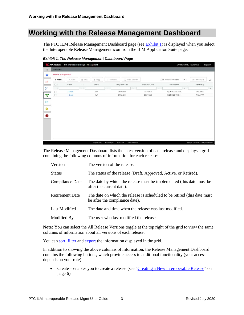# <span id="page-6-0"></span>**Working with the Release Management Dashboard**

The PTC ILM Release Management Dashboard page (see **Exhibit 1**) is displayed when you select the Interoperable Release Management icon from the ILM Application Suite page.

|                       | <b>RAILING</b>            |          | PTC Interoperable Lifecycle Management |               |                                                          |                 |                       |                 |                                  |                 | CARYTST: RAIL Launch Pad +                   | Sign Out |
|-----------------------|---------------------------|----------|----------------------------------------|---------------|----------------------------------------------------------|-----------------|-----------------------|-----------------|----------------------------------|-----------------|----------------------------------------------|----------|
| $\equiv$              | Dashboard                 |          |                                        |               |                                                          |                 |                       |                 |                                  |                 |                                              |          |
| 合                     | <b>Release Management</b> |          |                                        |               |                                                          |                 |                       |                 |                                  |                 |                                              |          |
| $\rightleftarrows$    | $+$ Create                | Ph View  | $\boxtimes'$ Edit                      | <b>曲 Copy</b> | $\rightarrow$ <sup><math>\leftarrow</math></sup> Compare |                 | 4 View Activity       |                 | $\equiv$<br>All Release Versions | $2$ of $2$      | <b>E3</b> Clear Filters                      | 山        |
|                       | $\Box$                    | Version  | $+$                                    | Status        |                                                          | Compliance Date |                       | Retirement Date | Last Modified                    |                 | Modified By                                  |          |
| ٯ٩                    |                           |          | $\nabla$                               |               | $\nabla$                                                 |                 | $\boldsymbol{\nabla}$ | 8               |                                  | $\triangledown$ |                                              | $\nabla$ |
|                       | $\Box$                    | 2-Draft1 |                                        | Draft         |                                                          | 04/30/2020      |                       | 05/31/2020      | 04/21/2020 11:23:55              |                 | <b>PAULMART</b>                              |          |
| Ł.                    | $\Box$                    | 1-Draft1 |                                        | Draft         |                                                          | 04/22/2020      |                       | 05/31/2020      | 04/21/2020 11:00:14              |                 | PAULMART                                     |          |
| $h$<br>۰<br><b>EB</b> |                           |          |                                        |               |                                                          |                 |                       |                 |                                  |                 |                                              |          |
|                       |                           |          |                                        | Legal Notices | Privacy Rights                                           | Contact Us      | Terms of Service      |                 |                                  |                 | Copyright 2020 Railinc@ All rights reserved. |          |

<span id="page-6-1"></span>*Exhibit 1. The Release Management Dashboard Page*

The Release Management Dashboard lists the latest version of each release and displays a grid containing the following columns of information for each release:

| Version                | The version of the release.                                                                                 |
|------------------------|-------------------------------------------------------------------------------------------------------------|
| <b>Status</b>          | The status of the release (Draft, Approved, Active, or Retired).                                            |
| Compliance Date        | The date by which the release must be implemented (this date must be<br>after the current date).            |
| <b>Retirement Date</b> | The date on which the release is scheduled to be retired (this date must)<br>be after the compliance date). |
| Last Modified          | The date and time when the release was last modified.                                                       |
| Modified By            | The user who last modified the release.                                                                     |

**Note:** You can select the All Release Versions toggle at the top right of the grid to view the same columns of information about all versions of each release.

You ca[n sort, filter](#page-7-0) an[d export](#page-8-0) the information displayed in the grid.

In addition to showing the above columns of information, the Release Management Dashboard contains the following buttons, which provide access to additional functionality (your access depends on your role):

• Create – enables you to create a release (see ["Creating a New Interoperable Release"](#page-9-0) on page [6\)](#page-9-0).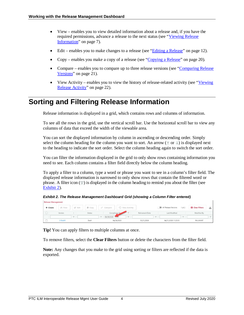- View enables you to view detailed information about a release and, if you have the required permissions, advance a release to the next status (see ["Viewing Release](#page-10-0)  [Information"](#page-10-0) on page [7\)](#page-10-0).
- Edit enables you to make changes to a release (see ["Editing a Release"](#page-15-0) on page [12\)](#page-15-0).
- Copy enables you make a copy of a release (see ["Copying a Release"](#page-23-0) on pag[e 20\)](#page-23-0).
- Compare enables you to compare up to three release versions (see "Comparing Release" [Versions"](#page-24-0) on page [21\)](#page-24-0).
- View Activity enables you to view the history of release-related activity (see "Viewing" [Release Activity"](#page-25-0) on page [22\)](#page-25-0).

# <span id="page-7-0"></span>**Sorting and Filtering Release Information**

Release information is displayed in a grid, which contains rows and columns of information.

To see all the rows in the grid, use the vertical scroll bar. Use the horizontal scroll bar to view any columns of data that exceed the width of the viewable area.

You can sort the displayed information by column in ascending or descending order. Simply select the column heading for the column you want to sort. An arrow ( $\uparrow$  or  $\downarrow$ ) is displayed next to the heading to indicate the sort order. Select the column heading again to switch the sort order.

You can filter the information displayed in the grid to only show rows containing information you need to see. Each column contains a filter field directly below the column heading.

To apply a filter to a column, type a word or phrase you want to see in a column's filter field. The displayed release information is narrowed to only show rows that contain the filtered word or phrase. A filter icon  $(\nabla)$  is displayed in the column heading to remind you about the filter (see [Exhibit 2\)](#page-7-1).

<span id="page-7-1"></span>*Exhibit 2. The Release Management Dashboard Grid (showing a Column Filter entered)* Release Management

| <b>INCLESSA IMMIRANTILLY</b> |          |          |               |                             |               |                         |                 |          |                      |                         |                         |         |
|------------------------------|----------|----------|---------------|-----------------------------|---------------|-------------------------|-----------------|----------|----------------------|-------------------------|-------------------------|---------|
| + Create                     | Pi View  | Z Edit   | 直 Copy        | $\rightarrow$ Compare       |               | <b>49</b> View Activity |                 |          | All Release Versions | $1$ of $2$              | <b>E3</b> Clear Filters |         |
|                              | Version  |          | <b>Status</b> |                             | Compliance Da |                         | Retirement Date |          | Last Modified        |                         | Modified By             |         |
|                              |          | $\sigma$ |               | $\rightarrow$<br>04/30/2020 |               | $\overline{a}$          |                 | $\nabla$ |                      | $\overline{\mathbf{w}}$ |                         | $1 - 1$ |
|                              | 2-Draft1 |          | Draft         |                             | 04/30/2020    |                         | 05/31/2020      |          | 04/21/2020 11:23:55  |                         | PAULMART                |         |

**Tip!** You can apply filters to multiple columns at once.

To remove filters, select the **Clear Filters** button or delete the characters from the filter field.

**Note:** Any changes that you make to the grid using sorting or filters are reflected if the data is exported.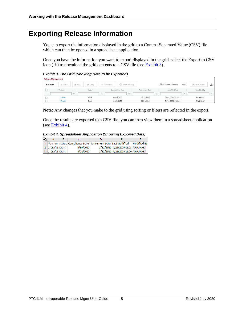# <span id="page-8-0"></span>**Exporting Release Information**

You can export the information displayed in the grid to a Comma Separated Value (CSV) file, which can then be opened in a spreadsheet application.

Once you have the information you want to export displayed in the grid, select the Export to CSV icon  $(\triangle)$  to download the grid contents to a CSV file (se[e Exhibit 3\)](#page-8-1).

<span id="page-8-1"></span>*Exhibit 3. The Grid (Showing Data to be Exported)*

| <b>Release Management</b> |          |        |               |                       |                 |                  |                 |        |                      |            |                         |  |
|---------------------------|----------|--------|---------------|-----------------------|-----------------|------------------|-----------------|--------|----------------------|------------|-------------------------|--|
| $+$ Create                | Pi View  | C Edit | <b>曲 Copy</b> | $\rightarrow$ Compare |                 | 40 View Activity |                 |        | All Release Versions | $2$ of $2$ | <b>El</b> Clear Filters |  |
|                           | Version  |        | Status        |                       | Compliance Date |                  | Retirement Date |        | Last Modified        |            | Modified By             |  |
|                           |          | $\sim$ |               | $\sim$                |                 | $\triangledown$  |                 | $\sim$ |                      | $\nabla$   |                         |  |
|                           | 2-Draft1 |        | Draft         |                       | 04/30/2020      |                  | 05/31/2020      |        | 04/21/2020 11:23:55  |            | PAULMART                |  |
|                           | 1-Draft1 |        | Draft         |                       | 04/22/2020      |                  | 05/31/2020      |        | 04/21/2020 11:00:14  |            | PAULMART                |  |

**Note:** Any changes that you make to the grid using sorting or filters are reflected in the export.

Once the results are exported to a CSV file, you can then view them in a spreadsheet application (see  $\overline{\text{Exhibit 4}}$ ).

<span id="page-8-2"></span>

| <b>Exhibit 4. Spreadsheet Application (Showing Exported Data)</b> |  |  |  |  |
|-------------------------------------------------------------------|--|--|--|--|
|-------------------------------------------------------------------|--|--|--|--|

| ÆР |                  |                                                              |                                    |                    |
|----|------------------|--------------------------------------------------------------|------------------------------------|--------------------|
|    |                  | Version Status Compliance Date Retirement Date Last Modified |                                    | <b>Modified By</b> |
|    | 2 2-Draft1 Draft | 4/30/2020                                                    | 5/31/2020 4/21/2020 11:23 PAULMART |                    |
|    | 1-Draft1 Draft   | 4/22/2020                                                    | 5/31/2020 4/21/2020 11:00 PAULMART |                    |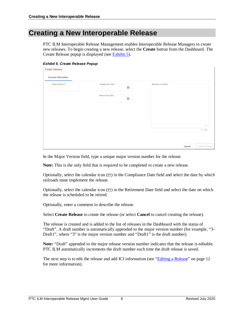### <span id="page-9-0"></span>**Creating a New Interoperable Release**

PTC ILM Interoperable Release Management enables Interoperable Release Managers to create new releases. To begin creating a new release, select the **Create** button from the Dashboard. The Create Release popup is displayed (see [Exhibit 5\)](#page-9-1).

<span id="page-9-1"></span>*Exhibit 5. Create Release Popup*

**Create Release** 

| Major Version * | Compliance Date<br>$\begin{picture}(20,20) \put(0,0){\line(1,0){10}} \put(15,0){\line(1,0){10}} \put(15,0){\line(1,0){10}} \put(15,0){\line(1,0){10}} \put(15,0){\line(1,0){10}} \put(15,0){\line(1,0){10}} \put(15,0){\line(1,0){10}} \put(15,0){\line(1,0){10}} \put(15,0){\line(1,0){10}} \put(15,0){\line(1,0){10}} \put(15,0){\line(1,0){10}} \put(15,0){\line(1$ | Release Comment |  |
|-----------------|------------------------------------------------------------------------------------------------------------------------------------------------------------------------------------------------------------------------------------------------------------------------------------------------------------------------------------------------------------------------|-----------------|--|
|                 | Retirement Date<br>$\begin{picture}(20,20) \put(0,0){\line(1,0){10}} \put(15,0){\line(1,0){10}} \put(15,0){\line(1,0){10}} \put(15,0){\line(1,0){10}} \put(15,0){\line(1,0){10}} \put(15,0){\line(1,0){10}} \put(15,0){\line(1,0){10}} \put(15,0){\line(1,0){10}} \put(15,0){\line(1,0){10}} \put(15,0){\line(1,0){10}} \put(15,0){\line(1,0){10}} \put(15,0){\line(1$ |                 |  |
|                 |                                                                                                                                                                                                                                                                                                                                                                        |                 |  |
|                 |                                                                                                                                                                                                                                                                                                                                                                        |                 |  |
|                 |                                                                                                                                                                                                                                                                                                                                                                        |                 |  |

| Cancel | Create Release |
|--------|----------------|

In the Major Version field, type a unique major version number for the release.

**Note:** This is the only field that is required to be completed to create a new release.

Optionally, select the calendar icon  $(\Box)$  in the Compliance Date field and select the date by which railroads must implement the release.

Optionally, select the calendar icon  $(\Box)$  in the Retirement Date field and select the date on which the release is scheduled to be retired.

Optionally, enter a comment to describe the release.

Select **Create Release** to create the release (or select **Cancel** to cancel creating the release).

The release is created and is added to the list of releases in the Dashboard with the status of "Draft". A draft number is automatically appended to the major version number (for example, "3- Draft1", where "3" is the major version number and "Draft1" is the draft number).

**Note:** "Draft" appended to the major release version number indicates that the release is editable. PTC ILM automatically increments the draft number each time the draft release is saved.

The next step is to edit the release and add ICI information (see ["Editing a Release"](#page-15-0) on page [12](#page-15-0) for more information).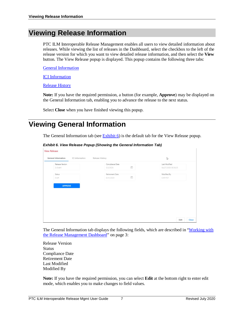# <span id="page-10-0"></span>**Viewing Release Information**

PTC ILM Interoperable Release Management enables all users to view detailed information about releases. While viewing the list of releases in the Dashboard, select the checkbox to the left of the release version for which you want to view detailed release information, and then select the **View** button. The View Release popup is displayed. This popup contains the following three tabs:

[General Information](#page-10-1)

**ICI** Information

[Release History](#page-14-0)

**Note:** If you have the required permission, a button (for example, **Approve**) may be displayed on the General Information tab, enabling you to advance the release to the next status.

Select **Close** when you have finished viewing this popup.

# <span id="page-10-1"></span>**Viewing General Information**

The General Information tab (see [Exhibit 6\)](#page-10-2) is the default tab for the View Release popup.

#### <span id="page-10-2"></span>*Exhibit 6. View Release Popup (Showing the General Information Tab)*

**View Release** 

| Release Version | Compliance Date                                     | Last Modified       |
|-----------------|-----------------------------------------------------|---------------------|
| 3-Draft1        | $\begin{bmatrix} 0 \\ 0 \end{bmatrix}$<br>5/5/2020  | 04/27/2020 00:36:35 |
| Status          | Retirement Date                                     | Modified By         |
| Draft           | $\begin{bmatrix} 0 \\ 0 \end{bmatrix}$<br>8/31/2020 | CARYTST             |
| <b>APPROVE</b>  |                                                     |                     |
|                 |                                                     |                     |
|                 |                                                     |                     |
|                 |                                                     |                     |

The General Information tab displays the following fields, which are described in ["Working with](#page-6-0)  [the Release Management Dashboard"](#page-6-0) on page [3:](#page-6-0)

Release Version Status Compliance Date Retirement Date Last Modified Modified By

**Note:** If you have the required permission, you can select **Edit** at the bottom right to enter edit mode, which enables you to make changes to field values.

Close

Edit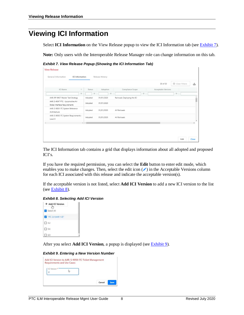# <span id="page-11-0"></span>**Viewing ICI Information**

Select **ICI Information** on the View Release popup to view the ICI Information tab (see **Exhibit 7**).

**Note:** Only users with the Interoperable Release Manager role can change information on this tab.

#### <span id="page-11-1"></span>*Exhibit 7. View Release Popup (Showing the ICI Information Tab)*

**View Release** 

| <b>ICI</b> Name                                                         | $\uparrow$      | Status                                     | Adoption   | Compliance Scope<br><b>Acceptable Versions</b> |   |
|-------------------------------------------------------------------------|-----------------|--------------------------------------------|------------|------------------------------------------------|---|
|                                                                         | $\triangledown$ | $\nabla$                                   | Y.         | $\nabla$                                       | V |
| AAR: RP-9457 Master Test Strategy                                       |                 | Adopted                                    | 01/01/2020 | Railroads Deploying the ICI                    |   |
| AAR: S-4047 PTC - Locomotive Air<br><b>Brake Interface Requirements</b> |                 | Adopted                                    | 01/01/2020 |                                                |   |
| AAR: S-9001 ITC System Reference<br>Architecture                        |                 | Adopted                                    | 01/01/2020 | All Railroads                                  |   |
| AAR: S-9053 ITC System Requirements -<br>Level 0                        |                 | Adopted                                    | 01/01/2020 | All Railroads                                  |   |
|                                                                         |                 | $\mathbb{E}\left[ \left[ 0\right] \right]$ |            |                                                |   |

The ICI Information tab contains a grid that displays information about all adopted and proposed ICI's.

If you have the required permission, you can select the **Edit** button to enter edit mode, which enables you to make changes. Then, select the edit icon  $(\cdot)$  in the Acceptable Versions column for each ICI associated with this release and indicate the acceptable version(s).

If the acceptable version is not listed, select **Add ICI Version** to add a new ICI version to the list (see [Exhibit 8\)](#page-11-2).

#### <span id="page-11-2"></span>*Exhibit 8. Selecting Add ICI Version*



After you select **Add ICI Version**, a popup is displayed (se[e Exhibit 9\)](#page-11-3).

#### <span id="page-11-3"></span>*Exhibit 9. Entering a New Version Number*

| 31 | <b>ICI</b> Version |  |
|----|--------------------|--|
|    |                    |  |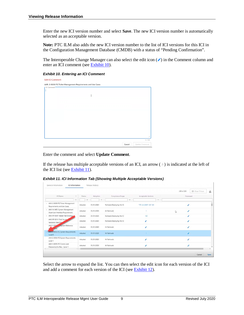Enter the new ICI version number and select **Save**. The new ICI version number is automatically selected as an acceptable version.

**Note:** PTC ILM also adds the new ICI version number to the list of ICI versions for this ICI in the Configuration Management Database (CMDB) with a status of "Pending Confirmation".

The Interoperable Change Manager can also select the edit icon  $(\cdot)$  in the Comment column and enter an ICI comment (see [Exhibit 10\)](#page-12-0).

<span id="page-12-0"></span>*Exhibit 10. Entering an ICI Comment*

| CI Comment | AAR: S-9058 ITC Ticket Management Requirements and Use Cases |  |        |                |
|------------|--------------------------------------------------------------|--|--------|----------------|
|            |                                                              |  |        |                |
|            | I                                                            |  |        |                |
|            |                                                              |  |        |                |
|            |                                                              |  |        |                |
|            |                                                              |  |        |                |
|            |                                                              |  |        |                |
|            |                                                              |  |        |                |
|            |                                                              |  |        |                |
|            |                                                              |  |        |                |
|            |                                                              |  |        |                |
|            |                                                              |  |        | 0/1000         |
|            |                                                              |  | Cancel | Update Comment |

Enter the comment and select **Update Comment**.

If the release has multiple acceptable versions of an ICI, an arrow  $($ ) is indicated at the left of the ICI list (see [Exhibit 11\)](#page-12-1).

<span id="page-12-1"></span>*Exhibit 11. ICI Information Tab (Showing Multiple Acceptable Versions)*

|                                                                    |                 |            |                             |                         | 238 of 238<br>El Clear Filters | 函 |
|--------------------------------------------------------------------|-----------------|------------|-----------------------------|-------------------------|--------------------------------|---|
| ICI Name<br>÷.                                                     | Status          | Adoption   | Compliance Scope            | Acceptable Versions     | Comment                        |   |
| $\nabla$                                                           | S.              | v          |                             | v<br>7                  |                                |   |
| AAR: S-9058 ITC Ticket Management<br>Requirements and Use Cases    | Adopted         | 01/31/2020 | Railroads Deploying the ICI | "ITC 2.4 (AAR 1.0)" 3.4 |                                |   |
| AAR: M-9453 System Management<br>Asset User Interface Requirements | Adopted         | 01/31/2020 | All Railroads               |                         | $\mathbb{D}$                   |   |
| AAR: RP-9457 Master Test Strategy                                  | Adopted         | 01/31/2020 | Railroads Deploying the ICI | 1.0                     | s.                             |   |
| AAR: RP-9511 Field Survey<br>Validation Best Pra                   | Adopted         | 01/31/2020 | Railroads Deploying the ICI | ╭                       | ۶                              |   |
| AAR: \$-900<br>System Reference<br><b>Lature</b>                   | Adopted         | 01/31/2020 | All Railroads               |                         |                                |   |
| AAR: S-9053 ITC System Requirements -<br>Level 0                   | Adopted         | 01/31/2020 | All Railroads               |                         |                                |   |
| AAR: S-9054 ITC System Requirements -<br>Level 1                   | Adopted         | 01/31/2020 | All Railroads               |                         |                                |   |
| AAR: S-9055 ITC Comms and<br>Messaging Sys Reg - Level 1           | Adopted<br>9.14 | 01/31/2020 | All Railroads               |                         |                                |   |

Select the arrow to expand the list. You can then select the edit icon for each version of the ICI and add a comment for each version of the ICI (see [Exhibit 12\)](#page-13-0).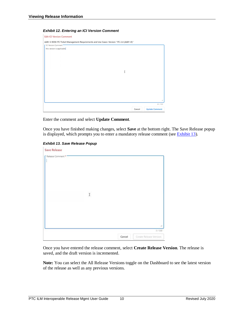#### *Exhibit 12. Entering an ICI Version Comment*

<span id="page-13-0"></span>

Enter the comment and select **Update Comment**.

Once you have finished making changes, select **Save** at the bottom right. The Save Release popup is displayed, which prompts you to enter a mandatory release comment (see **Exhibit 13**).

#### *Exhibit 13. Save Release Popup*

<span id="page-13-1"></span>

Once you have entered the release comment, select **Create Release Version**. The release is saved, and the draft version is incremented.

**Note:** You can select the All Release Versions toggle on the Dashboard to see the latest version of the release as well as any previous versions.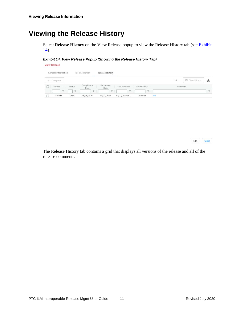# <span id="page-14-0"></span>**Viewing the Release History**

Select **Release History** on the View Release popup to view the Release History tab (see **Exhibit**) [14\)](#page-14-1).

#### <span id="page-14-1"></span>*Exhibit 14. View Release Popup (Showing the Release History Tab)*

**View Release** 

| General Information   |               | ICI Information     | Release History    |                       |                 |      |            |                         |          |
|-----------------------|---------------|---------------------|--------------------|-----------------------|-----------------|------|------------|-------------------------|----------|
| $\rightarrow$ Compare |               |                     |                    |                       |                 |      | $1$ of $1$ | <b>El</b> Clear Filters | ឃ        |
| Version<br>×.         | <b>Status</b> | Compliance<br>Date: | Retirement<br>Date | Last Modified         | Modified By     |      | Comment    |                         |          |
| $\triangledown$       | $\nabla$      | ×.                  | $\nabla$           | $\boldsymbol{\nabla}$ | $\triangledown$ |      |            |                         | $\nabla$ |
| 3-Draft1              | Draft         | 05/05/2020          | 08/31/2020         | 04/27/2020 00         | CARYTST         | test |            |                         |          |

| Fdit<br>. | CIOS<br>÷ |
|-----------|-----------|

The Release History tab contains a grid that displays all versions of the release and all of the release comments.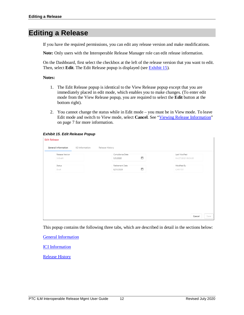# <span id="page-15-0"></span>**Editing a Release**

If you have the required permissions, you can edit any release version and make modifications.

**Note:** Only users with the Interoperable Release Manager role can edit release information.

On the Dashboard, first select the checkbox at the left of the release version that you want to edit. Then, select **Edit**. The Edit Release popup is displayed (see [Exhibit 15\)](#page-15-1).

#### **Notes:**

- 1. The Edit Release popup is identical to the View Release popup except that you are immediately placed in edit mode, which enables you to make changes. (To enter edit mode from the View Release popup, you are required to select the **Edit** button at the bottom right).
- 2. You cannot change the status while in Edit mode you must be in View mode. To leave Edit mode and switch to View mode, select **Cancel**. See ["Viewing Release Information"](#page-10-0) on page [7](#page-10-0) for more information.

#### <span id="page-15-1"></span>*Exhibit 15. Edit Release Popup*

#### **Edit Release General Information** ICI Information Release History Last Modified Release Version Compliance Date  $\Box$ 04/27/2020 00:36:35 3-Draft1  $5/5/2020$ Status Retirement Date Modified By  $\Box$ Draft 8/31/2020 CARYTST

|--|--|

This popup contains the following three tabs, which are described in detail in the sections below:

[General Information](#page-16-0)

[ICI Information](#page-17-0)

[Release History](#page-21-0)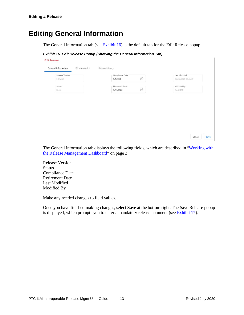# <span id="page-16-0"></span>**Editing General Information**

The General Information tab (see [Exhibit 16\)](#page-16-1) is the default tab for the Edit Release popup.

```
Exhibit 16. Edit Release Popup (Showing the General Information Tab)
```

| Release Version<br>3-Draft1 | Compliance Date<br>$\Box$<br>5/1/2020              | Last Modified<br>04/27/2020 00:36:35 |
|-----------------------------|----------------------------------------------------|--------------------------------------|
| Status                      | Retirement Date                                    | Modified By                          |
| Draft                       | $\begin{array}{c} \hline \end{array}$<br>8/31/2020 | CARYTST                              |
|                             |                                                    |                                      |
|                             |                                                    |                                      |
|                             |                                                    |                                      |
|                             |                                                    |                                      |
|                             |                                                    |                                      |
|                             |                                                    |                                      |

The General Information tab displays the following fields, which are described in "Working with [the Release Management Dashboard"](#page-6-0) on page [3:](#page-6-0)

Release Version Status Compliance Date Retirement Date Last Modified Modified By

Make any needed changes to field values.

Once you have finished making changes, select **Save** at the bottom right. The Save Release popup is displayed, which prompts you to enter a mandatory release comment (see [Exhibit 17\)](#page-17-1).

Cancel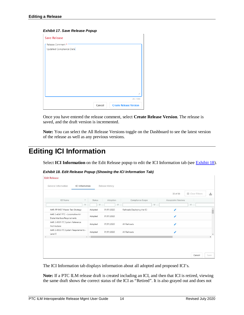#### <span id="page-17-1"></span>*Exhibit 17. Save Release Popup*

| <b>Save Release</b>                         |        |                               |
|---------------------------------------------|--------|-------------------------------|
| Release Comment*<br>Updated Compliance Date |        |                               |
|                                             |        |                               |
|                                             |        | //                            |
|                                             |        | 23 / 1000                     |
|                                             | Cancel | <b>Create Release Version</b> |

Once you have entered the release comment, select **Create Release Version**. The release is saved, and the draft version is incremented.

**Note:** You can select the All Release Versions toggle on the Dashboard to see the latest version of the release as well as any previous versions.

# <span id="page-17-0"></span>**Editing ICI Information**

Select **ICI Information** on the Edit Release popup to edit the ICI Information tab (see [Exhibit 18\)](#page-17-2).

|                                                                  |                                              |         |            |                             | 30 of 30            | <b>E3</b> Clear Filters |
|------------------------------------------------------------------|----------------------------------------------|---------|------------|-----------------------------|---------------------|-------------------------|
| ICI Name                                                         | ÷.                                           | Status  | Adoption   | Compliance Scope            | Acceptable Versions |                         |
|                                                                  | v                                            | v       | V.         | 7                           |                     | $\boldsymbol{\nabla}$   |
| AAR: RP-9457 Master Test Strategy                                |                                              | Adopted | 01/01/2020 | Railroads Deploying the ICI |                     |                         |
| AAR: S-4047 PTC - Locomotive Air<br>Brake Interface Requirements |                                              | Adopted | 01/01/2020 |                             | ∕                   |                         |
| AAR: S-9001 ITC System Reference<br>Architecture                 |                                              | Adopted | 01/01/2020 | All Railroads               | ∕                   |                         |
| AAR: S-9053 ITC System Requirements -<br>Level 0                 |                                              | Adopted | 01/01/2020 | All Railroads               |                     |                         |
|                                                                  | $\mathbb{E} \left[ \neg \mathcal{A} \right]$ |         |            |                             |                     |                         |

<span id="page-17-2"></span>*Exhibit 18. Edit Release Popup (Showing the ICI Information Tab)*

The ICI Information tab displays information about all adopted and proposed ICI's.

**Note:** If a PTC ILM release draft is created including an ICI, and then that ICI is retired, viewing the same draft shows the correct status of the ICI as "Retired". It is also grayed out and does not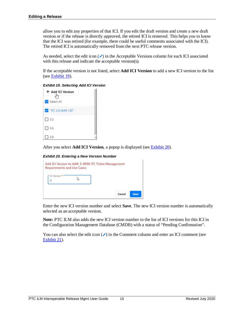allow you to edit any properties of that ICI. If you edit the draft version and create a new draft version or if the release is directly approved, the retired ICI is removed. This helps you to know that the ICI was retired (for example, there could be useful comments associated with the ICI). The retired ICI is automatically removed from the next PTC release version.

As needed, select the edit icon  $(\cdot)$  in the Acceptable Versions column for each ICI associated with this release and indicate the acceptable version(s).

If the acceptable version is not listed, select **Add ICI Version** to add a new ICI version to the list (see  $\frac{\text{Exhibit 19}}{\text{Exhibit}}$ .

<span id="page-18-0"></span>*Exhibit 19. Selecting Add ICI Version*

| + Add ICI Version    |  |
|----------------------|--|
| Select All           |  |
| 7 TTC 2.4 (AAR 1.0)* |  |
| $\square$ 3.2        |  |
| 5.6                  |  |
| 6.0                  |  |

After you select **Add ICI Version**, a popup is displayed (see **Exhibit 20**).

#### <span id="page-18-1"></span>*Exhibit 20. Entering a New Version Number*

| ICI Version |  |  |
|-------------|--|--|
|-------------|--|--|

Enter the new ICI version number and select **Save**. The new ICI version number is automatically selected as an acceptable version.

**Note:** PTC ILM also adds the new ICI version number to the list of ICI versions for this ICI in the Configuration Management Database (CMDB) with a status of "Pending Confirmation".

You can also select the edit icon  $(\prime)$  in the Comment column and enter an ICI comment (see [Exhibit 21\)](#page-19-0).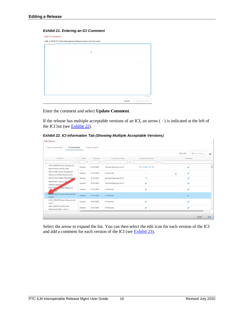#### <span id="page-19-0"></span>*Exhibit 21. Entering an ICI Comment*



**Edit Release** 



Enter the comment and select **Update Comment**.

If the release has multiple acceptable versions of an ICI, an arrow  $($ ) is indicated at the left of the ICI list (see  $\frac{\text{Exhibit } 22}{\text{Exhibit } 22}$ ).

<span id="page-19-1"></span>*Exhibit 22. ICI Information Tab (Showing Multiple Acceptable Versions)*

|                                                                            |         |            |                             |                         | 238 of 238 | <b>El</b> Clear Filters<br>画 |
|----------------------------------------------------------------------------|---------|------------|-----------------------------|-------------------------|------------|------------------------------|
| ICI Name<br>12                                                             | Status  | Adoption   | Compliance Scope            | Acceptable Versions     | Comment    |                              |
| $\triangledown$                                                            | v       | v.         |                             | $\nabla$<br>7           |            |                              |
| AAR: S-9058 ITC Ticket Management<br>Requirements and Use Cases            | Adopted | 01/31/2020 | Railroads Deploying the ICI | "ITC 2.4 (AAR 1.0)" 3.4 | v          |                              |
| AAR: M-9453 System Management<br>Asset User Interface Requirements         | Adopted | 01/31/2020 | All Railroads               | Y.                      | ∕<br>r,    |                              |
| AAR: RP-9457 Master Test Strategy                                          | Adopted | 01/31/2020 | Railroads Deploying the ICI | 1.0                     | ×          |                              |
| AAR: RP-9511 Field Survey<br>Validation Best Pra                           | Adopted | 01/31/2020 | Railroads Deploying the ICI |                         |            |                              |
| AAR: S-9004<br>System Reference<br>Laure                                   | Adopted | 01/31/2020 | All Railroads               | ×                       | ∕          |                              |
| AAR: S-9053 ITC System Requirements -<br>Level 0                           | Adopted | 01/31/2020 | All Railroads               |                         | ∕          |                              |
| AAR: S-9054 ITC System Requirements -<br>Level 1                           | Adopted | 01/31/2020 | All Railroads               |                         |            |                              |
| AAR: S-9055 ITC Comms and<br>Messaging Sys Reg - Level 1<br>$\mathbf{r}$ + | Adopted | 01/31/2020 | All Railroads               |                         |            |                              |

Select the arrow to expand the list. You can then select the edit icon for each version of the ICI and add a comment for each version of the ICI (see [Exhibit 23\)](#page-20-0).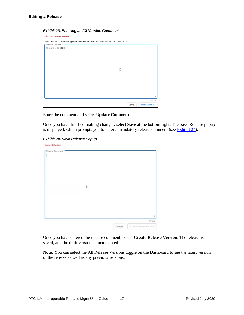#### <span id="page-20-0"></span>*Exhibit 23. Entering an ICI Version Comment*

| AAR: S-9058 ITC Ticket Management Requirements and Use Cases: Version "ITC 2.4 (AAR 1.0)"<br><b>f</b> ICI Version Comment |        |                                    |
|---------------------------------------------------------------------------------------------------------------------------|--------|------------------------------------|
| this version is applicable                                                                                                |        |                                    |
|                                                                                                                           |        |                                    |
|                                                                                                                           |        |                                    |
|                                                                                                                           |        |                                    |
|                                                                                                                           | I      |                                    |
|                                                                                                                           |        |                                    |
|                                                                                                                           |        |                                    |
|                                                                                                                           |        |                                    |
|                                                                                                                           |        | h                                  |
|                                                                                                                           | Cancel | 25 / 1000<br><b>Update Comment</b> |

Enter the comment and select **Update Comment**.

Once you have finished making changes, select **Save** at the bottom right. The Save Release popup is displayed, which prompts you to enter a mandatory release comment (see [Exhibit 24\)](#page-20-1).

#### *Exhibit 24. Save Release Popup*

<span id="page-20-1"></span>

Once you have entered the release comment, select **Create Release Version**. The release is saved, and the draft version is incremented.

**Note:** You can select the All Release Versions toggle on the Dashboard to see the latest version of the release as well as any previous versions.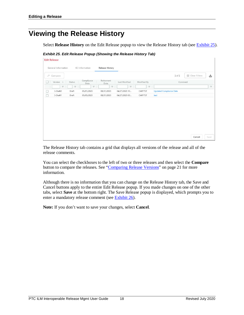# <span id="page-21-0"></span>**Viewing the Release History**

Select **Release History** on the Edit Release popup to view the Release History tab (see **Exhibit 25**).

<span id="page-21-1"></span>*Exhibit 25. Edit Release Popup (Showing the Release History Tab)* **Edit Release** 

| General Information |        | ICI Information    | Release History    |               |                 |                                |                         |                     |
|---------------------|--------|--------------------|--------------------|---------------|-----------------|--------------------------------|-------------------------|---------------------|
| $+$ Compare         |        |                    |                    |               |                 | $2$ of $2$                     | <b>El</b> Clear Filters | ৻৺                  |
| Version +           | Status | Compliance<br>Date | Retirement<br>Date | Last Modified | Modified By     | Comment                        |                         |                     |
| 7                   | 7      | $\nabla$           | Y                  | V.            | $\triangledown$ |                                |                         | $\overline{\nabla}$ |
| 3-Draft2            | Draft  | 05/01/2020         | 08/31/2020         | 04/27/2020 10 | CARYTST         | <b>Updated Compliance Date</b> |                         |                     |
| 3-Draft1            | Draft  | 05/05/2020         | 08/31/2020         | 04/27/2020 00 | CARYTST         | test                           |                         |                     |

Cancel Save

The Release History tab contains a grid that displays all versions of the release and all of the release comments.

You can select the checkboxes to the left of two or three releases and then select the **Compare** button to compare the releases. See ["Comparing Release Versions"](#page-24-0) on page [21](#page-24-0) for more information.

Although there is no information that you can change on the Release History tab, the Save and Cancel buttons apply to the entire Edit Release popup. If you made changes on one of the other tabs, select **Save** at the bottom right. The Save Release popup is displayed, which prompts you to enter a mandatory release comment (see [Exhibit 26\)](#page-22-0).

**Note:** If you don't want to save your changes, select **Cancel**.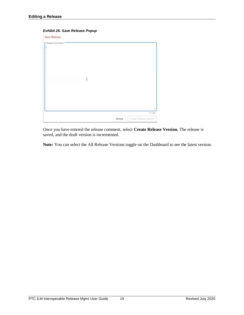#### <span id="page-22-0"></span>*Exhibit 26. Save Release Popup*

| <b>Save Release</b> |                       |        |                                        |
|---------------------|-----------------------|--------|----------------------------------------|
| Release Comment *   | $\sim$<br>$\mathbb I$ |        |                                        |
|                     |                       | Cancel | ×.<br>071000<br>Create Release Version |

Once you have entered the release comment, select **Create Release Version**. The release is saved, and the draft version is incremented.

**Note:** You can select the All Release Versions toggle on the Dashboard to see the latest version.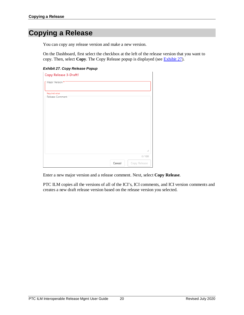# <span id="page-23-0"></span>**Copying a Release**

You can copy any release version and make a new version.

On the Dashboard, first select the checkbox at the left of the release version that you want to copy. Then, select **Copy**. The Copy Release popup is displayed (see [Exhibit 27\)](#page-23-1).

#### <span id="page-23-1"></span>*Exhibit 27. Copy Release Popup*

| Copy Release 3-Draft1 |        |              |
|-----------------------|--------|--------------|
| Major Version *       |        |              |
|                       |        |              |
| Required value        |        |              |
| Release Comment       |        |              |
|                       |        |              |
|                       |        |              |
|                       |        |              |
|                       |        |              |
|                       |        |              |
|                       |        |              |
|                       |        |              |
|                       |        |              |
|                       |        |              |
|                       |        |              |
|                       |        |              |
|                       |        |              |
|                       |        | h            |
|                       |        |              |
|                       |        | 0/1000       |
|                       | Cancel | Copy Release |
|                       |        |              |

Enter a new major version and a release comment. Next, select **Copy Release**.

PTC ILM copies all the versions of all of the ICI's, ICI comments, and ICI version comments and creates a new draft release version based on the release version you selected.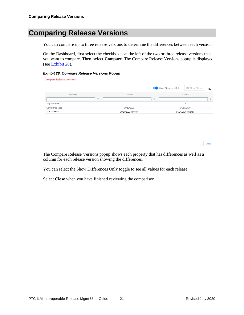# <span id="page-24-0"></span>**Comparing Release Versions**

You can compare up to three release versions to determine the differences between each version.

On the Dashboard, first select the checkboxes at the left of the two or three release versions that you want to compare. Then, select **Compare**. The Compare Release Versions popup is displayed (see [Exhibit 28\)](#page-24-1).

#### <span id="page-24-1"></span>*Exhibit 28. Compare Release Versions Popup*

| <b>Compare Release Versions</b> |                 |                     |   |                                                  |                 |
|---------------------------------|-----------------|---------------------|---|--------------------------------------------------|-----------------|
|                                 |                 |                     |   | Show Differences Only<br><b>El</b> Clear Filters | ட⊾              |
| Property                        |                 | 1-Draft1            |   | 2-Draft1                                         |                 |
|                                 | $\triangledown$ |                     | Y |                                                  | $\triangledown$ |
| Major Version                   |                 |                     |   | $\mathcal{D}$                                    |                 |
| Compliance Date                 |                 | 04/22/2020          |   | 04/30/2020                                       |                 |
| Last Modified                   |                 | 04/21/2020 11:00:14 |   | 04/21/2020 11:23:55                              |                 |
|                                 |                 |                     |   |                                                  |                 |

The Compare Release Versions popup shows each property that has differences as well as a column for each release version showing the differences.

You can select the Show Differences Only toggle to see all values for each release.

Select **Close** when you have finished reviewing the comparison.

Close